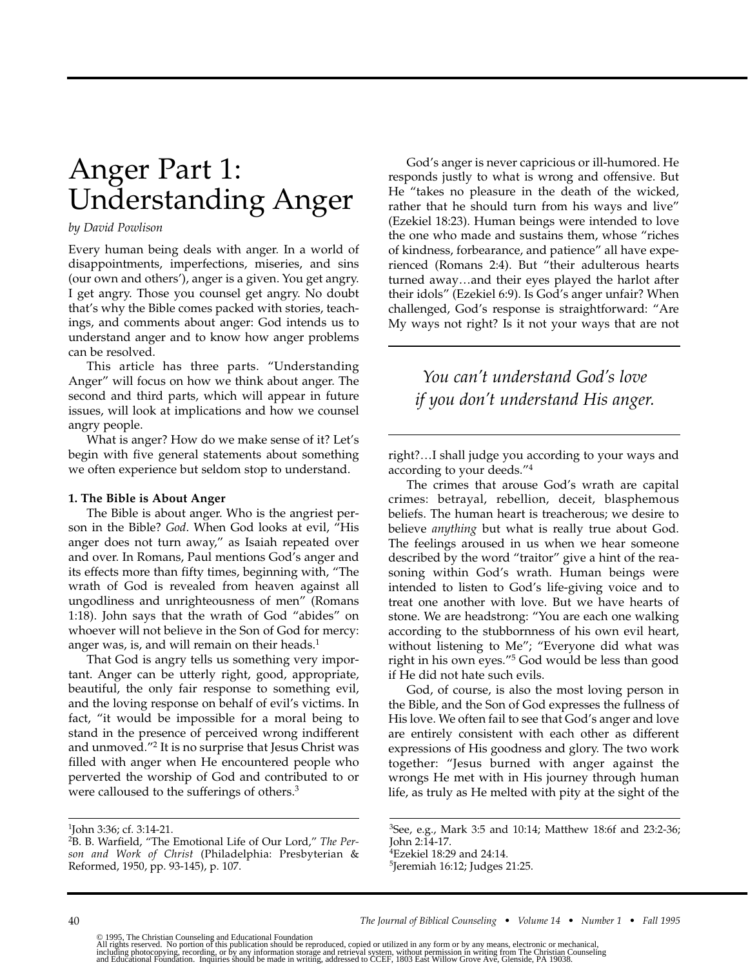# Anger Part 1: Understanding Anger

### *by David Powlison*

Every human being deals with anger. In a world of disappointments, imperfections, miseries, and sins (our own and others'), anger is a given. You get angry. I get angry. Those you counsel get angry. No doubt that's why the Bible comes packed with stories, teachings, and comments about anger: God intends us to understand anger and to know how anger problems can be resolved.

This article has three parts. "Understanding Anger" will focus on how we think about anger. The second and third parts, which will appear in future issues, will look at implications and how we counsel angry people.

What is anger? How do we make sense of it? Let's begin with five general statements about something we often experience but seldom stop to understand.

### **1. The Bible is About Anger**

The Bible is about anger. Who is the angriest person in the Bible? *God*. When God looks at evil, "His anger does not turn away," as Isaiah repeated over and over. In Romans, Paul mentions God's anger and its effects more than fifty times, beginning with, "The wrath of God is revealed from heaven against all ungodliness and unrighteousness of men" (Romans 1:18). John says that the wrath of God "abides" on whoever will not believe in the Son of God for mercy: anger was, is, and will remain on their heads. $<sup>1</sup>$ </sup>

That God is angry tells us something very important. Anger can be utterly right, good, appropriate, beautiful, the only fair response to something evil, and the loving response on behalf of evil's victims. In fact, "it would be impossible for a moral being to stand in the presence of perceived wrong indifferent and unmoved."2 It is no surprise that Jesus Christ was filled with anger when He encountered people who perverted the worship of God and contributed to or were calloused to the sufferings of others.<sup>3</sup>

1John 3:36; cf. 3:14-21.

God's anger is never capricious or ill-humored. He responds justly to what is wrong and offensive. But He "takes no pleasure in the death of the wicked, rather that he should turn from his ways and live" (Ezekiel 18:23). Human beings were intended to love the one who made and sustains them, whose "riches of kindness, forbearance, and patience" all have experienced (Romans 2:4). But "their adulterous hearts turned away…and their eyes played the harlot after their idols" (Ezekiel 6:9). Is God's anger unfair? When challenged, God's response is straightforward: "Are My ways not right? Is it not your ways that are not

# *You can't understand God's love if you don't understand His anger.*

right?…I shall judge you according to your ways and according to your deeds."4

The crimes that arouse God's wrath are capital crimes: betrayal, rebellion, deceit, blasphemous beliefs. The human heart is treacherous; we desire to believe *anything* but what is really true about God. The feelings aroused in us when we hear someone described by the word "traitor" give a hint of the reasoning within God's wrath. Human beings were intended to listen to God's life-giving voice and to treat one another with love. But we have hearts of stone. We are headstrong: "You are each one walking according to the stubbornness of his own evil heart, without listening to Me"; "Everyone did what was right in his own eyes."5 God would be less than good if He did not hate such evils.

God, of course, is also the most loving person in the Bible, and the Son of God expresses the fullness of His love. We often fail to see that God's anger and love are entirely consistent with each other as different expressions of His goodness and glory. The two work together: "Jesus burned with anger against the wrongs He met with in His journey through human life, as truly as He melted with pity at the sight of the

5Jeremiah 16:12; Judges 21:25.

<sup>2</sup>B. B. Warfield, "The Emotional Life of Our Lord," *The Person and Work of Christ* (Philadelphia: Presbyterian & Reformed, 1950, pp. 93-145), p. 107.

<sup>3</sup>See, e.g., Mark 3:5 and 10:14; Matthew 18:6f and 23:2-36; John 2:14-17. 4Ezekiel 18:29 and 24:14.

<sup>© 1995,</sup> The Christian Counseling and Educational Foundation<br>All rights reserved. No portion of this publication should be reproduced, copied or utilized in any form or by any means, electronic or mechanical,<br>including phot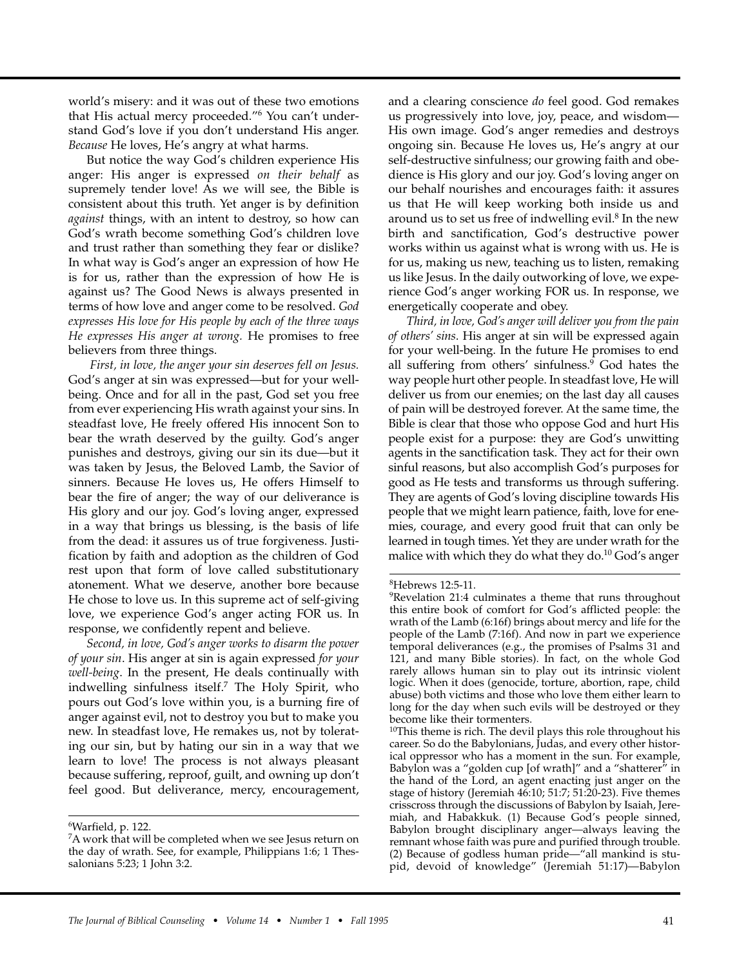world's misery: and it was out of these two emotions that His actual mercy proceeded."6 You can't understand God's love if you don't understand His anger. *Because* He loves, He's angry at what harms.

But notice the way God's children experience His anger: His anger is expressed *on their behalf* as supremely tender love! As we will see, the Bible is consistent about this truth. Yet anger is by definition *against* things, with an intent to destroy, so how can God's wrath become something God's children love and trust rather than something they fear or dislike? In what way is God's anger an expression of how He is for us, rather than the expression of how He is against us? The Good News is always presented in terms of how love and anger come to be resolved. *God expresses His love for His people by each of the three ways He expresses His anger at wrong.* He promises to free believers from three things.

*First, in love, the anger your sin deserves fell on Jesus.* God's anger at sin was expressed—but for your wellbeing. Once and for all in the past, God set you free from ever experiencing His wrath against your sins. In steadfast love, He freely offered His innocent Son to bear the wrath deserved by the guilty. God's anger punishes and destroys, giving our sin its due—but it was taken by Jesus, the Beloved Lamb, the Savior of sinners. Because He loves us, He offers Himself to bear the fire of anger; the way of our deliverance is His glory and our joy. God's loving anger, expressed in a way that brings us blessing, is the basis of life from the dead: it assures us of true forgiveness. Justification by faith and adoption as the children of God rest upon that form of love called substitutionary atonement. What we deserve, another bore because He chose to love us. In this supreme act of self-giving love, we experience God's anger acting FOR us. In response, we confidently repent and believe.

*Second, in love, God's anger works to disarm the power of your sin*. His anger at sin is again expressed *for your well-being*. In the present, He deals continually with indwelling sinfulness itself.7 The Holy Spirit, who pours out God's love within you, is a burning fire of anger against evil, not to destroy you but to make you new. In steadfast love, He remakes us, not by tolerating our sin, but by hating our sin in a way that we learn to love! The process is not always pleasant because suffering, reproof, guilt, and owning up don't feel good. But deliverance, mercy, encouragement,

6Warfield, p. 122.

and a clearing conscience *do* feel good. God remakes us progressively into love, joy, peace, and wisdom— His own image. God's anger remedies and destroys ongoing sin. Because He loves us, He's angry at our self-destructive sinfulness; our growing faith and obedience is His glory and our joy. God's loving anger on our behalf nourishes and encourages faith: it assures us that He will keep working both inside us and around us to set us free of indwelling evil.<sup>8</sup> In the new birth and sanctification, God's destructive power works within us against what is wrong with us. He is for us, making us new, teaching us to listen, remaking us like Jesus. In the daily outworking of love, we experience God's anger working FOR us. In response, we energetically cooperate and obey.

*Third, in love, God's anger will deliver you from the pain of others' sins*. His anger at sin will be expressed again for your well-being. In the future He promises to end all suffering from others' sinfulness.<sup>9</sup> God hates the way people hurt other people. In steadfast love, He will deliver us from our enemies; on the last day all causes of pain will be destroyed forever. At the same time, the Bible is clear that those who oppose God and hurt His people exist for a purpose: they are God's unwitting agents in the sanctification task. They act for their own sinful reasons, but also accomplish God's purposes for good as He tests and transforms us through suffering. They are agents of God's loving discipline towards His people that we might learn patience, faith, love for enemies, courage, and every good fruit that can only be learned in tough times. Yet they are under wrath for the malice with which they do what they do.<sup>10</sup> God's anger

<sup>10</sup>This theme is rich. The devil plays this role throughout his career. So do the Babylonians, Judas, and every other historical oppressor who has a moment in the sun. For example, Babylon was a "golden cup [of wrath]" and a "shatterer" in the hand of the Lord, an agent enacting just anger on the stage of history (Jeremiah 46:10; 51:7; 51:20-23). Five themes crisscross through the discussions of Babylon by Isaiah, Jeremiah, and Habakkuk. (1) Because God's people sinned, Babylon brought disciplinary anger—always leaving the remnant whose faith was pure and purified through trouble. (2) Because of godless human pride—"all mankind is stupid, devoid of knowledge" (Jeremiah 51:17)—Babylon

<sup>7</sup>A work that will be completed when we see Jesus return on the day of wrath. See, for example, Philippians 1:6; 1 Thessalonians 5:23; 1 John 3:2.

<sup>8</sup>Hebrews 12:5-11.

<sup>9</sup>Revelation 21:4 culminates a theme that runs throughout this entire book of comfort for God's afflicted people: the wrath of the Lamb (6:16f) brings about mercy and life for the people of the Lamb (7:16f). And now in part we experience temporal deliverances (e.g., the promises of Psalms 31 and 121, and many Bible stories). In fact, on the whole God rarely allows human sin to play out its intrinsic violent logic. When it does (genocide, torture, abortion, rape, child abuse) both victims and those who love them either learn to long for the day when such evils will be destroyed or they become like their tormenters.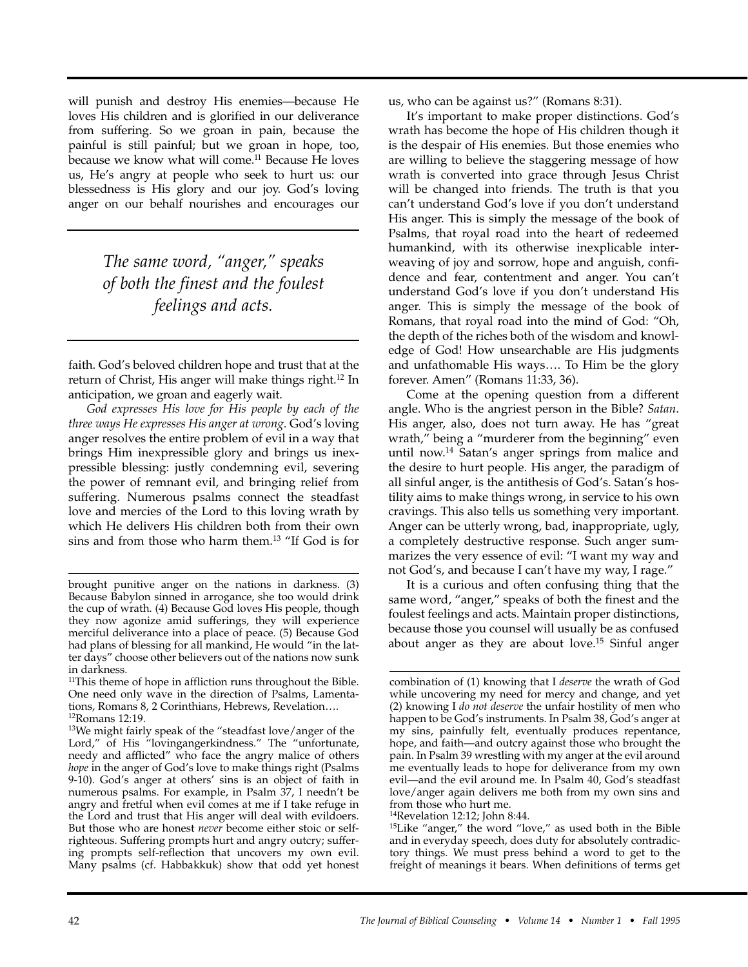will punish and destroy His enemies—because He loves His children and is glorified in our deliverance from suffering. So we groan in pain, because the painful is still painful; but we groan in hope, too, because we know what will come.<sup>11</sup> Because He loves us, He's angry at people who seek to hurt us: our blessedness is His glory and our joy. God's loving anger on our behalf nourishes and encourages our

> *The same word, "anger," speaks of both the finest and the foulest feelings and acts.*

faith. God's beloved children hope and trust that at the return of Christ, His anger will make things right.<sup>12</sup> In anticipation, we groan and eagerly wait.

*God expresses His love for His people by each of the three ways He expresses His anger at wrong.* God's loving anger resolves the entire problem of evil in a way that brings Him inexpressible glory and brings us inexpressible blessing: justly condemning evil, severing the power of remnant evil, and bringing relief from suffering. Numerous psalms connect the steadfast love and mercies of the Lord to this loving wrath by which He delivers His children both from their own sins and from those who harm them.13 "If God is for

us, who can be against us?" (Romans 8:31).

It's important to make proper distinctions. God's wrath has become the hope of His children though it is the despair of His enemies. But those enemies who are willing to believe the staggering message of how wrath is converted into grace through Jesus Christ will be changed into friends. The truth is that you can't understand God's love if you don't understand His anger. This is simply the message of the book of Psalms, that royal road into the heart of redeemed humankind, with its otherwise inexplicable interweaving of joy and sorrow, hope and anguish, confidence and fear, contentment and anger. You can't understand God's love if you don't understand His anger. This is simply the message of the book of Romans, that royal road into the mind of God: "Oh, the depth of the riches both of the wisdom and knowledge of God! How unsearchable are His judgments and unfathomable His ways…. To Him be the glory forever. Amen" (Romans 11:33, 36).

Come at the opening question from a different angle. Who is the angriest person in the Bible? *Satan*. His anger, also, does not turn away. He has "great wrath," being a "murderer from the beginning" even until now.14 Satan's anger springs from malice and the desire to hurt people. His anger, the paradigm of all sinful anger, is the antithesis of God's. Satan's hostility aims to make things wrong, in service to his own cravings. This also tells us something very important. Anger can be utterly wrong, bad, inappropriate, ugly, a completely destructive response. Such anger summarizes the very essence of evil: "I want my way and not God's, and because I can't have my way, I rage."

It is a curious and often confusing thing that the same word, "anger," speaks of both the finest and the foulest feelings and acts. Maintain proper distinctions, because those you counsel will usually be as confused about anger as they are about love.<sup>15</sup> Sinful anger

brought punitive anger on the nations in darkness. (3) Because Babylon sinned in arrogance, she too would drink the cup of wrath. (4) Because God loves His people, though they now agonize amid sufferings, they will experience merciful deliverance into a place of peace. (5) Because God had plans of blessing for all mankind, He would "in the latter days" choose other believers out of the nations now sunk in darkness.

<sup>&</sup>lt;sup>11</sup>This theme of hope in affliction runs throughout the Bible. One need only wave in the direction of Psalms, Lamentations, Romans 8, 2 Corinthians, Hebrews, Revelation…. 12Romans 12:19.

<sup>13</sup>We might fairly speak of the "steadfast love/anger of the Lord," of His "lovingangerkindness." The "unfortunate, needy and afflicted" who face the angry malice of others *hope* in the anger of God's love to make things right (Psalms 9-10). God's anger at others' sins is an object of faith in numerous psalms. For example, in Psalm 37, I needn't be angry and fretful when evil comes at me if I take refuge in the Lord and trust that His anger will deal with evildoers. But those who are honest *never* become either stoic or selfrighteous. Suffering prompts hurt and angry outcry; suffering prompts self-reflection that uncovers my own evil. Many psalms (cf. Habbakkuk) show that odd yet honest

combination of (1) knowing that I *deserve* the wrath of God while uncovering my need for mercy and change, and yet (2) knowing I *do not deserve* the unfair hostility of men who happen to be God's instruments. In Psalm 38, God's anger at my sins, painfully felt, eventually produces repentance, hope, and faith—and outcry against those who brought the pain. In Psalm 39 wrestling with my anger at the evil around me eventually leads to hope for deliverance from my own evil—and the evil around me. In Psalm 40, God's steadfast love/anger again delivers me both from my own sins and from those who hurt me.

<sup>14</sup>Revelation 12:12; John 8:44.

<sup>15</sup>Like "anger," the word "love," as used both in the Bible and in everyday speech, does duty for absolutely contradictory things. We must press behind a word to get to the freight of meanings it bears. When definitions of terms get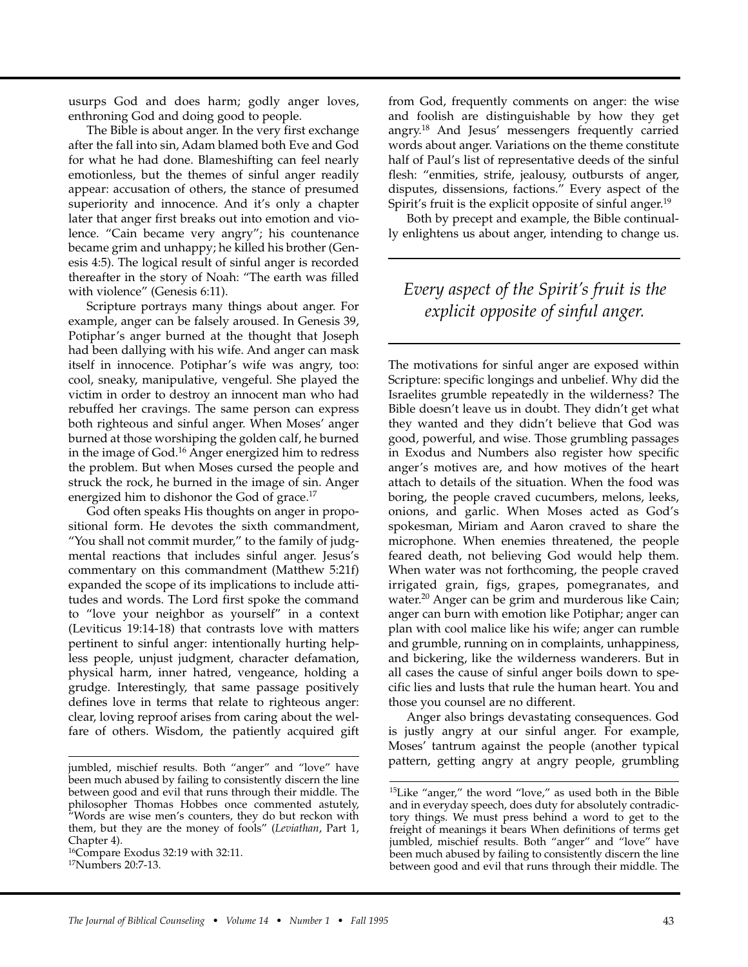usurps God and does harm; godly anger loves, enthroning God and doing good to people.

The Bible is about anger. In the very first exchange after the fall into sin, Adam blamed both Eve and God for what he had done. Blameshifting can feel nearly emotionless, but the themes of sinful anger readily appear: accusation of others, the stance of presumed superiority and innocence. And it's only a chapter later that anger first breaks out into emotion and violence. "Cain became very angry"; his countenance became grim and unhappy; he killed his brother (Genesis 4:5). The logical result of sinful anger is recorded thereafter in the story of Noah: "The earth was filled with violence" (Genesis 6:11).

Scripture portrays many things about anger. For example, anger can be falsely aroused. In Genesis 39, Potiphar's anger burned at the thought that Joseph had been dallying with his wife. And anger can mask itself in innocence. Potiphar's wife was angry, too: cool, sneaky, manipulative, vengeful. She played the victim in order to destroy an innocent man who had rebuffed her cravings. The same person can express both righteous and sinful anger. When Moses' anger burned at those worshiping the golden calf, he burned in the image of God.16 Anger energized him to redress the problem. But when Moses cursed the people and struck the rock, he burned in the image of sin. Anger energized him to dishonor the God of grace.<sup>17</sup>

God often speaks His thoughts on anger in propositional form. He devotes the sixth commandment, "You shall not commit murder," to the family of judgmental reactions that includes sinful anger. Jesus's commentary on this commandment (Matthew 5:21f) expanded the scope of its implications to include attitudes and words. The Lord first spoke the command to "love your neighbor as yourself" in a context (Leviticus 19:14-18) that contrasts love with matters pertinent to sinful anger: intentionally hurting helpless people, unjust judgment, character defamation, physical harm, inner hatred, vengeance, holding a grudge. Interestingly, that same passage positively defines love in terms that relate to righteous anger: clear, loving reproof arises from caring about the welfare of others. Wisdom, the patiently acquired gift

from God, frequently comments on anger: the wise and foolish are distinguishable by how they get angry.18 And Jesus' messengers frequently carried words about anger. Variations on the theme constitute half of Paul's list of representative deeds of the sinful flesh: "enmities, strife, jealousy, outbursts of anger, disputes, dissensions, factions." Every aspect of the Spirit's fruit is the explicit opposite of sinful anger.<sup>19</sup>

Both by precept and example, the Bible continually enlightens us about anger, intending to change us.

# *Every aspect of the Spirit's fruit is the explicit opposite of sinful anger.*

The motivations for sinful anger are exposed within Scripture: specific longings and unbelief. Why did the Israelites grumble repeatedly in the wilderness? The Bible doesn't leave us in doubt. They didn't get what they wanted and they didn't believe that God was good, powerful, and wise. Those grumbling passages in Exodus and Numbers also register how specific anger's motives are, and how motives of the heart attach to details of the situation. When the food was boring, the people craved cucumbers, melons, leeks, onions, and garlic. When Moses acted as God's spokesman, Miriam and Aaron craved to share the microphone. When enemies threatened, the people feared death, not believing God would help them. When water was not forthcoming, the people craved irrigated grain, figs, grapes, pomegranates, and water.<sup>20</sup> Anger can be grim and murderous like Cain; anger can burn with emotion like Potiphar; anger can plan with cool malice like his wife; anger can rumble and grumble, running on in complaints, unhappiness, and bickering, like the wilderness wanderers. But in all cases the cause of sinful anger boils down to specific lies and lusts that rule the human heart. You and those you counsel are no different.

Anger also brings devastating consequences. God is justly angry at our sinful anger. For example, Moses' tantrum against the people (another typical pattern, getting angry at angry people, grumbling

jumbled, mischief results. Both "anger" and "love" have been much abused by failing to consistently discern the line between good and evil that runs through their middle. The philosopher Thomas Hobbes once commented astutely, "Words are wise men's counters, they do but reckon with them, but they are the money of fools" (*Leviathan*, Part 1, Chapter 4).

<sup>&</sup>lt;sup>16</sup>Compare Exodus 32:19 with 32:11.

<sup>&</sup>lt;sup>17</sup>Numbers 20:7-13.

<sup>15</sup>Like "anger," the word "love," as used both in the Bible and in everyday speech, does duty for absolutely contradictory things. We must press behind a word to get to the freight of meanings it bears When definitions of terms get jumbled, mischief results. Both "anger" and "love" have been much abused by failing to consistently discern the line between good and evil that runs through their middle. The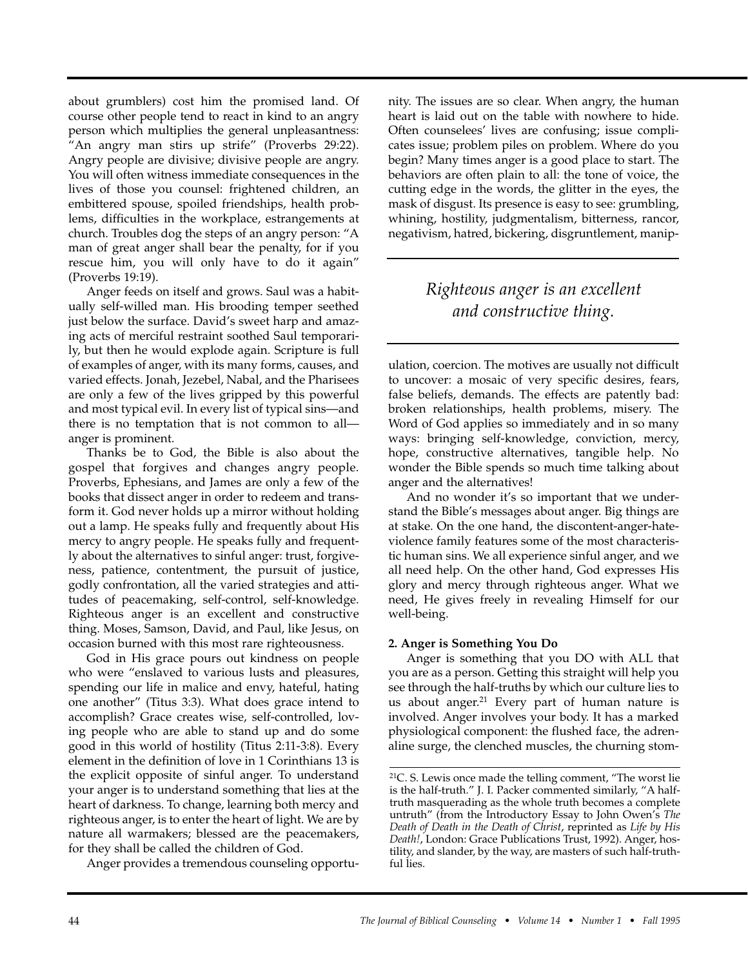about grumblers) cost him the promised land. Of course other people tend to react in kind to an angry person which multiplies the general unpleasantness: "An angry man stirs up strife" (Proverbs 29:22). Angry people are divisive; divisive people are angry. You will often witness immediate consequences in the lives of those you counsel: frightened children, an embittered spouse, spoiled friendships, health problems, difficulties in the workplace, estrangements at church. Troubles dog the steps of an angry person: "A man of great anger shall bear the penalty, for if you rescue him, you will only have to do it again" (Proverbs 19:19).

Anger feeds on itself and grows. Saul was a habitually self-willed man. His brooding temper seethed just below the surface. David's sweet harp and amazing acts of merciful restraint soothed Saul temporarily, but then he would explode again. Scripture is full of examples of anger, with its many forms, causes, and varied effects. Jonah, Jezebel, Nabal, and the Pharisees are only a few of the lives gripped by this powerful and most typical evil. In every list of typical sins—and there is no temptation that is not common to all anger is prominent.

Thanks be to God, the Bible is also about the gospel that forgives and changes angry people. Proverbs, Ephesians, and James are only a few of the books that dissect anger in order to redeem and transform it. God never holds up a mirror without holding out a lamp. He speaks fully and frequently about His mercy to angry people. He speaks fully and frequently about the alternatives to sinful anger: trust, forgiveness, patience, contentment, the pursuit of justice, godly confrontation, all the varied strategies and attitudes of peacemaking, self-control, self-knowledge. Righteous anger is an excellent and constructive thing. Moses, Samson, David, and Paul, like Jesus, on occasion burned with this most rare righteousness.

God in His grace pours out kindness on people who were "enslaved to various lusts and pleasures, spending our life in malice and envy, hateful, hating one another" (Titus 3:3). What does grace intend to accomplish? Grace creates wise, self-controlled, loving people who are able to stand up and do some good in this world of hostility (Titus 2:11-3:8). Every element in the definition of love in 1 Corinthians 13 is the explicit opposite of sinful anger. To understand your anger is to understand something that lies at the heart of darkness. To change, learning both mercy and righteous anger, is to enter the heart of light. We are by nature all warmakers; blessed are the peacemakers, for they shall be called the children of God.

Anger provides a tremendous counseling opportu-

nity. The issues are so clear. When angry, the human heart is laid out on the table with nowhere to hide. Often counselees' lives are confusing; issue complicates issue; problem piles on problem. Where do you begin? Many times anger is a good place to start. The behaviors are often plain to all: the tone of voice, the cutting edge in the words, the glitter in the eyes, the mask of disgust. Its presence is easy to see: grumbling, whining, hostility, judgmentalism, bitterness, rancor, negativism, hatred, bickering, disgruntlement, manip-

# *Righteous anger is an excellent and constructive thing.*

ulation, coercion. The motives are usually not difficult to uncover: a mosaic of very specific desires, fears, false beliefs, demands. The effects are patently bad: broken relationships, health problems, misery. The Word of God applies so immediately and in so many ways: bringing self-knowledge, conviction, mercy, hope, constructive alternatives, tangible help. No wonder the Bible spends so much time talking about anger and the alternatives!

And no wonder it's so important that we understand the Bible's messages about anger. Big things are at stake. On the one hand, the discontent-anger-hateviolence family features some of the most characteristic human sins. We all experience sinful anger, and we all need help. On the other hand, God expresses His glory and mercy through righteous anger. What we need, He gives freely in revealing Himself for our well-being.

# **2. Anger is Something You Do**

Anger is something that you DO with ALL that you are as a person. Getting this straight will help you see through the half-truths by which our culture lies to us about anger. $21$  Every part of human nature is involved. Anger involves your body. It has a marked physiological component: the flushed face, the adrenaline surge, the clenched muscles, the churning stom-

<sup>21</sup>C. S. Lewis once made the telling comment, "The worst lie is the half-truth." J. I. Packer commented similarly, "A halftruth masquerading as the whole truth becomes a complete untruth" (from the Introductory Essay to John Owen's *The Death of Death in the Death of Christ*, reprinted as *Life by His Death!*, London: Grace Publications Trust, 1992). Anger, hostility, and slander, by the way, are masters of such half-truthful lies.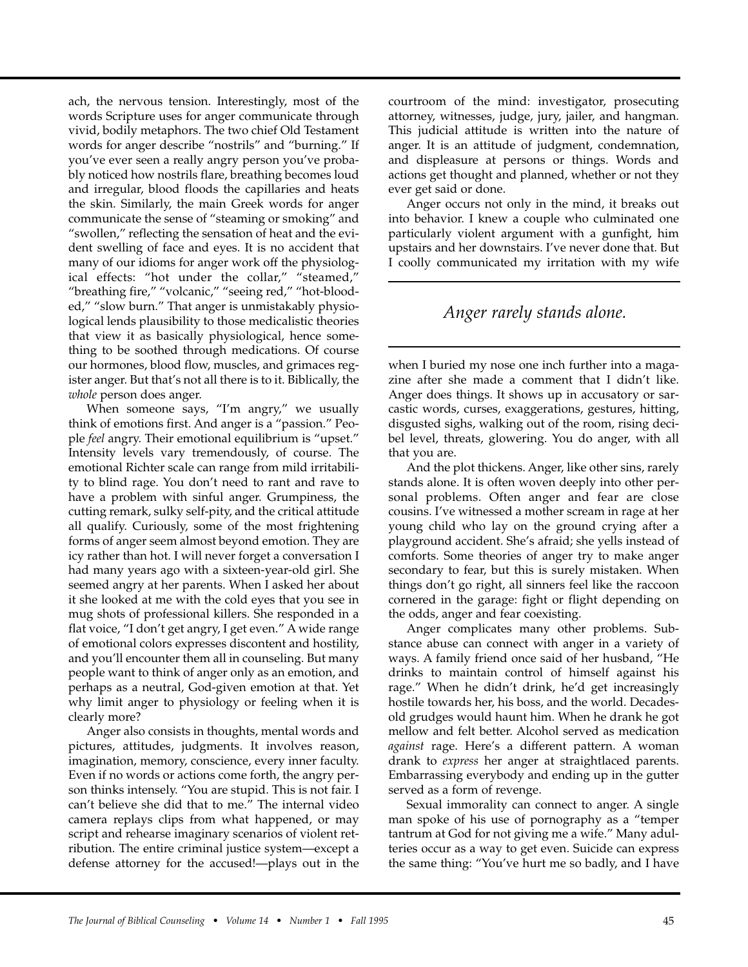ach, the nervous tension. Interestingly, most of the words Scripture uses for anger communicate through vivid, bodily metaphors. The two chief Old Testament words for anger describe "nostrils" and "burning." If you've ever seen a really angry person you've probably noticed how nostrils flare, breathing becomes loud and irregular, blood floods the capillaries and heats the skin. Similarly, the main Greek words for anger communicate the sense of "steaming or smoking" and "swollen," reflecting the sensation of heat and the evident swelling of face and eyes. It is no accident that many of our idioms for anger work off the physiological effects: "hot under the collar," "steamed," "breathing fire," "volcanic," "seeing red," "hot-blooded," "slow burn." That anger is unmistakably physiological lends plausibility to those medicalistic theories that view it as basically physiological, hence something to be soothed through medications. Of course our hormones, blood flow, muscles, and grimaces register anger. But that's not all there is to it. Biblically, the *whole* person does anger.

When someone says, "I'm angry," we usually think of emotions first. And anger is a "passion." People *feel* angry. Their emotional equilibrium is "upset." Intensity levels vary tremendously, of course. The emotional Richter scale can range from mild irritability to blind rage. You don't need to rant and rave to have a problem with sinful anger. Grumpiness, the cutting remark, sulky self-pity, and the critical attitude all qualify. Curiously, some of the most frightening forms of anger seem almost beyond emotion. They are icy rather than hot. I will never forget a conversation I had many years ago with a sixteen-year-old girl. She seemed angry at her parents. When I asked her about it she looked at me with the cold eyes that you see in mug shots of professional killers. She responded in a flat voice, "I don't get angry, I get even." A wide range of emotional colors expresses discontent and hostility, and you'll encounter them all in counseling. But many people want to think of anger only as an emotion, and perhaps as a neutral, God-given emotion at that. Yet why limit anger to physiology or feeling when it is clearly more?

Anger also consists in thoughts, mental words and pictures, attitudes, judgments. It involves reason, imagination, memory, conscience, every inner faculty. Even if no words or actions come forth, the angry person thinks intensely. "You are stupid. This is not fair. I can't believe she did that to me." The internal video camera replays clips from what happened, or may script and rehearse imaginary scenarios of violent retribution. The entire criminal justice system—except a defense attorney for the accused!—plays out in the courtroom of the mind: investigator, prosecuting attorney, witnesses, judge, jury, jailer, and hangman. This judicial attitude is written into the nature of anger. It is an attitude of judgment, condemnation, and displeasure at persons or things. Words and actions get thought and planned, whether or not they ever get said or done.

Anger occurs not only in the mind, it breaks out into behavior. I knew a couple who culminated one particularly violent argument with a gunfight, him upstairs and her downstairs. I've never done that. But I coolly communicated my irritation with my wife

# *Anger rarely stands alone.*

when I buried my nose one inch further into a magazine after she made a comment that I didn't like. Anger does things. It shows up in accusatory or sarcastic words, curses, exaggerations, gestures, hitting, disgusted sighs, walking out of the room, rising decibel level, threats, glowering. You do anger, with all that you are.

And the plot thickens. Anger, like other sins, rarely stands alone. It is often woven deeply into other personal problems. Often anger and fear are close cousins. I've witnessed a mother scream in rage at her young child who lay on the ground crying after a playground accident. She's afraid; she yells instead of comforts. Some theories of anger try to make anger secondary to fear, but this is surely mistaken. When things don't go right, all sinners feel like the raccoon cornered in the garage: fight or flight depending on the odds, anger and fear coexisting.

Anger complicates many other problems. Substance abuse can connect with anger in a variety of ways. A family friend once said of her husband, "He drinks to maintain control of himself against his rage." When he didn't drink, he'd get increasingly hostile towards her, his boss, and the world. Decadesold grudges would haunt him. When he drank he got mellow and felt better. Alcohol served as medication *against* rage. Here's a different pattern. A woman drank to *express* her anger at straightlaced parents. Embarrassing everybody and ending up in the gutter served as a form of revenge.

Sexual immorality can connect to anger. A single man spoke of his use of pornography as a "temper tantrum at God for not giving me a wife." Many adulteries occur as a way to get even. Suicide can express the same thing: "You've hurt me so badly, and I have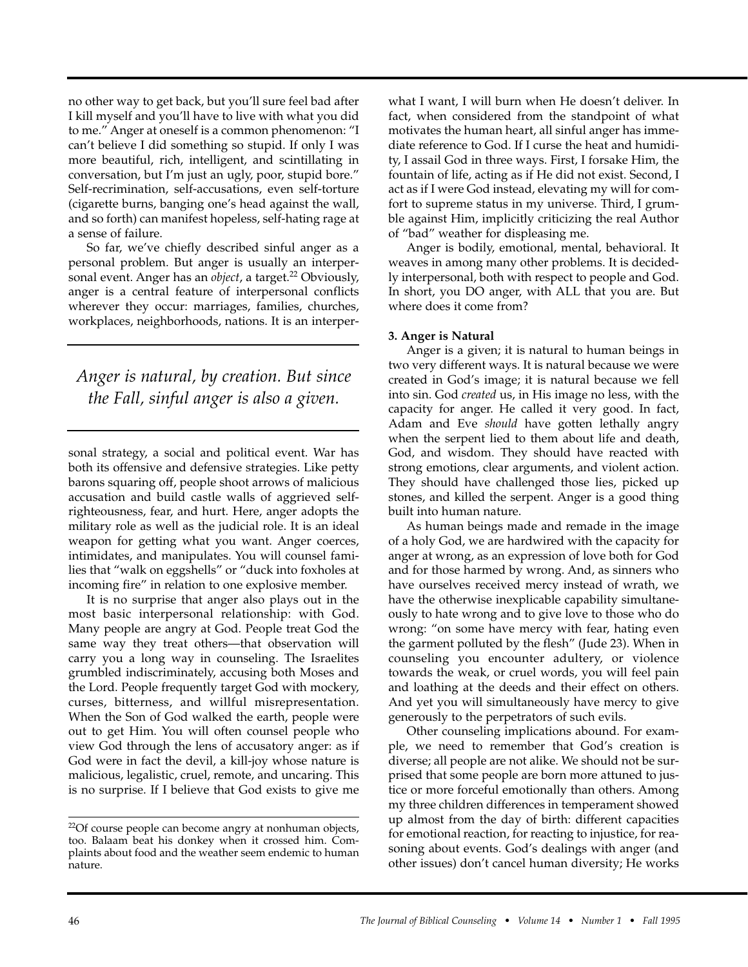no other way to get back, but you'll sure feel bad after I kill myself and you'll have to live with what you did to me." Anger at oneself is a common phenomenon: "I can't believe I did something so stupid. If only I was more beautiful, rich, intelligent, and scintillating in conversation, but I'm just an ugly, poor, stupid bore." Self-recrimination, self-accusations, even self-torture (cigarette burns, banging one's head against the wall, and so forth) can manifest hopeless, self-hating rage at a sense of failure.

So far, we've chiefly described sinful anger as a personal problem. But anger is usually an interpersonal event. Anger has an *object*, a target.<sup>22</sup> Obviously, anger is a central feature of interpersonal conflicts wherever they occur: marriages, families, churches, workplaces, neighborhoods, nations. It is an interper-

*Anger is natural, by creation. But since the Fall, sinful anger is also a given.*

sonal strategy, a social and political event. War has both its offensive and defensive strategies. Like petty barons squaring off, people shoot arrows of malicious accusation and build castle walls of aggrieved selfrighteousness, fear, and hurt. Here, anger adopts the military role as well as the judicial role. It is an ideal weapon for getting what you want. Anger coerces, intimidates, and manipulates. You will counsel families that "walk on eggshells" or "duck into foxholes at incoming fire" in relation to one explosive member.

It is no surprise that anger also plays out in the most basic interpersonal relationship: with God. Many people are angry at God. People treat God the same way they treat others—that observation will carry you a long way in counseling. The Israelites grumbled indiscriminately, accusing both Moses and the Lord. People frequently target God with mockery, curses, bitterness, and willful misrepresentation. When the Son of God walked the earth, people were out to get Him. You will often counsel people who view God through the lens of accusatory anger: as if God were in fact the devil, a kill-joy whose nature is malicious, legalistic, cruel, remote, and uncaring. This is no surprise. If I believe that God exists to give me

what I want, I will burn when He doesn't deliver. In fact, when considered from the standpoint of what motivates the human heart, all sinful anger has immediate reference to God. If I curse the heat and humidity, I assail God in three ways. First, I forsake Him, the fountain of life, acting as if He did not exist. Second, I act as if I were God instead, elevating my will for comfort to supreme status in my universe. Third, I grumble against Him, implicitly criticizing the real Author of "bad" weather for displeasing me.

Anger is bodily, emotional, mental, behavioral. It weaves in among many other problems. It is decidedly interpersonal, both with respect to people and God. In short, you DO anger, with ALL that you are. But where does it come from?

### **3. Anger is Natural**

Anger is a given; it is natural to human beings in two very different ways. It is natural because we were created in God's image; it is natural because we fell into sin. God *created* us, in His image no less, with the capacity for anger. He called it very good. In fact, Adam and Eve *should* have gotten lethally angry when the serpent lied to them about life and death, God, and wisdom. They should have reacted with strong emotions, clear arguments, and violent action. They should have challenged those lies, picked up stones, and killed the serpent. Anger is a good thing built into human nature.

As human beings made and remade in the image of a holy God, we are hardwired with the capacity for anger at wrong, as an expression of love both for God and for those harmed by wrong. And, as sinners who have ourselves received mercy instead of wrath, we have the otherwise inexplicable capability simultaneously to hate wrong and to give love to those who do wrong: "on some have mercy with fear, hating even the garment polluted by the flesh" (Jude 23). When in counseling you encounter adultery, or violence towards the weak, or cruel words, you will feel pain and loathing at the deeds and their effect on others. And yet you will simultaneously have mercy to give generously to the perpetrators of such evils.

Other counseling implications abound. For example, we need to remember that God's creation is diverse; all people are not alike. We should not be surprised that some people are born more attuned to justice or more forceful emotionally than others. Among my three children differences in temperament showed up almost from the day of birth: different capacities for emotional reaction, for reacting to injustice, for reasoning about events. God's dealings with anger (and other issues) don't cancel human diversity; He works

<sup>&</sup>lt;sup>22</sup>Of course people can become angry at nonhuman objects, too. Balaam beat his donkey when it crossed him. Complaints about food and the weather seem endemic to human nature.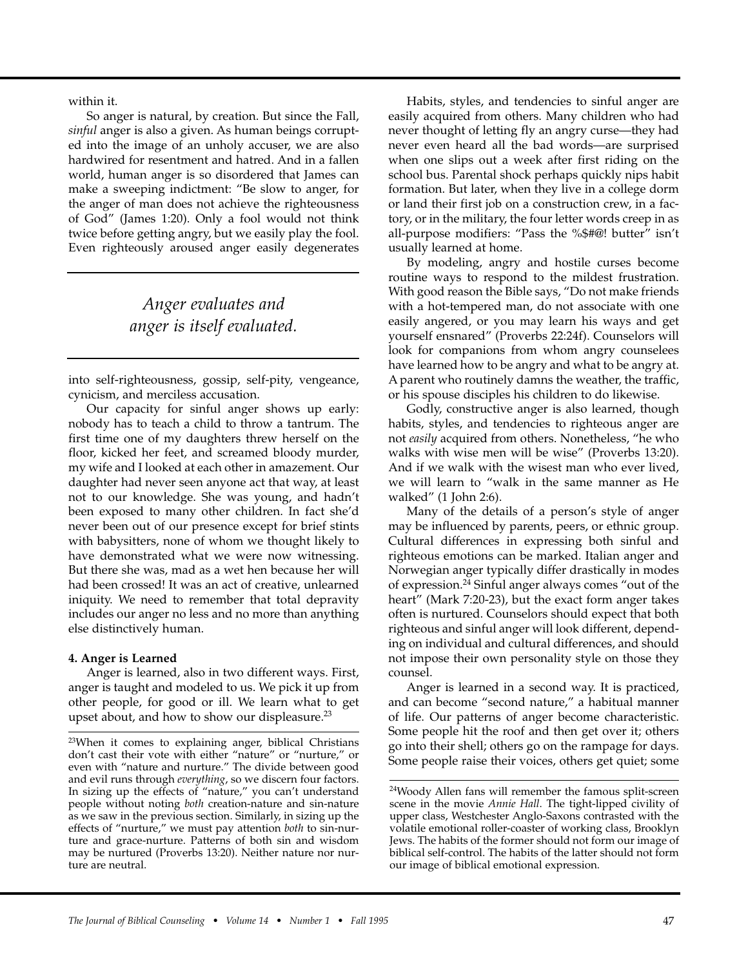within it.

So anger is natural, by creation. But since the Fall, *sinful* anger is also a given. As human beings corrupted into the image of an unholy accuser, we are also hardwired for resentment and hatred. And in a fallen world, human anger is so disordered that James can make a sweeping indictment: "Be slow to anger, for the anger of man does not achieve the righteousness of God" (James 1:20). Only a fool would not think twice before getting angry, but we easily play the fool. Even righteously aroused anger easily degenerates

# *Anger evaluates and anger is itself evaluated.*

into self-righteousness, gossip, self-pity, vengeance, cynicism, and merciless accusation.

Our capacity for sinful anger shows up early: nobody has to teach a child to throw a tantrum. The first time one of my daughters threw herself on the floor, kicked her feet, and screamed bloody murder, my wife and I looked at each other in amazement. Our daughter had never seen anyone act that way, at least not to our knowledge. She was young, and hadn't been exposed to many other children. In fact she'd never been out of our presence except for brief stints with babysitters, none of whom we thought likely to have demonstrated what we were now witnessing. But there she was, mad as a wet hen because her will had been crossed! It was an act of creative, unlearned iniquity. We need to remember that total depravity includes our anger no less and no more than anything else distinctively human.

### **4. Anger is Learned**

Anger is learned, also in two different ways. First, anger is taught and modeled to us. We pick it up from other people, for good or ill. We learn what to get upset about, and how to show our displeasure.23

Habits, styles, and tendencies to sinful anger are easily acquired from others. Many children who had never thought of letting fly an angry curse—they had never even heard all the bad words—are surprised when one slips out a week after first riding on the school bus. Parental shock perhaps quickly nips habit formation. But later, when they live in a college dorm or land their first job on a construction crew, in a factory, or in the military, the four letter words creep in as all-purpose modifiers: "Pass the %\$#@! butter" isn't usually learned at home.

By modeling, angry and hostile curses become routine ways to respond to the mildest frustration. With good reason the Bible says, "Do not make friends with a hot-tempered man, do not associate with one easily angered, or you may learn his ways and get yourself ensnared" (Proverbs 22:24f). Counselors will look for companions from whom angry counselees have learned how to be angry and what to be angry at. A parent who routinely damns the weather, the traffic, or his spouse disciples his children to do likewise.

Godly, constructive anger is also learned, though habits, styles, and tendencies to righteous anger are not *easily* acquired from others. Nonetheless, "he who walks with wise men will be wise" (Proverbs 13:20). And if we walk with the wisest man who ever lived, we will learn to "walk in the same manner as He walked" (1 John 2:6).

Many of the details of a person's style of anger may be influenced by parents, peers, or ethnic group. Cultural differences in expressing both sinful and righteous emotions can be marked. Italian anger and Norwegian anger typically differ drastically in modes of expression.24 Sinful anger always comes "out of the heart" (Mark 7:20-23), but the exact form anger takes often is nurtured. Counselors should expect that both righteous and sinful anger will look different, depending on individual and cultural differences, and should not impose their own personality style on those they counsel.

Anger is learned in a second way. It is practiced, and can become "second nature," a habitual manner of life. Our patterns of anger become characteristic. Some people hit the roof and then get over it; others go into their shell; others go on the rampage for days. Some people raise their voices, others get quiet; some

<sup>&</sup>lt;sup>23</sup>When it comes to explaining anger, biblical Christians don't cast their vote with either "nature" or "nurture," or even with "nature and nurture." The divide between good and evil runs through *everything*, so we discern four factors. In sizing up the effects of "nature," you can't understand people without noting *both* creation-nature and sin-nature as we saw in the previous section. Similarly, in sizing up the effects of "nurture," we must pay attention *both* to sin-nurture and grace-nurture. Patterns of both sin and wisdom may be nurtured (Proverbs 13:20). Neither nature nor nurture are neutral.

<sup>24</sup>Woody Allen fans will remember the famous split-screen scene in the movie *Annie Hall*. The tight-lipped civility of upper class, Westchester Anglo-Saxons contrasted with the volatile emotional roller-coaster of working class, Brooklyn Jews. The habits of the former should not form our image of biblical self-control. The habits of the latter should not form our image of biblical emotional expression.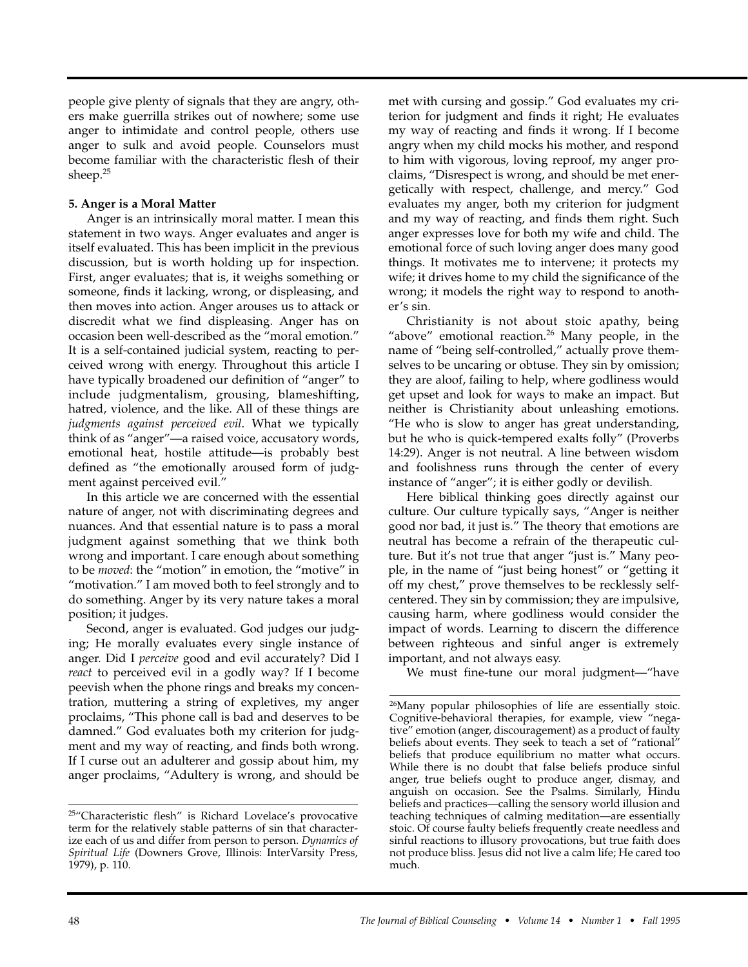people give plenty of signals that they are angry, others make guerrilla strikes out of nowhere; some use anger to intimidate and control people, others use anger to sulk and avoid people. Counselors must become familiar with the characteristic flesh of their sheep.25

# **5. Anger is a Moral Matter**

Anger is an intrinsically moral matter. I mean this statement in two ways. Anger evaluates and anger is itself evaluated. This has been implicit in the previous discussion, but is worth holding up for inspection. First, anger evaluates; that is, it weighs something or someone, finds it lacking, wrong, or displeasing, and then moves into action. Anger arouses us to attack or discredit what we find displeasing. Anger has on occasion been well-described as the "moral emotion." It is a self-contained judicial system, reacting to perceived wrong with energy. Throughout this article I have typically broadened our definition of "anger" to include judgmentalism, grousing, blameshifting, hatred, violence, and the like. All of these things are *judgments against perceived evil*. What we typically think of as "anger"—a raised voice, accusatory words, emotional heat, hostile attitude—is probably best defined as "the emotionally aroused form of judgment against perceived evil."

In this article we are concerned with the essential nature of anger, not with discriminating degrees and nuances. And that essential nature is to pass a moral judgment against something that we think both wrong and important. I care enough about something to be *moved*: the "motion" in emotion, the "motive" in "motivation." I am moved both to feel strongly and to do something. Anger by its very nature takes a moral position; it judges.

Second, anger is evaluated. God judges our judging; He morally evaluates every single instance of anger. Did I *perceive* good and evil accurately? Did I *react* to perceived evil in a godly way? If I become peevish when the phone rings and breaks my concentration, muttering a string of expletives, my anger proclaims, "This phone call is bad and deserves to be damned." God evaluates both my criterion for judgment and my way of reacting, and finds both wrong. If I curse out an adulterer and gossip about him, my anger proclaims, "Adultery is wrong, and should be

met with cursing and gossip." God evaluates my criterion for judgment and finds it right; He evaluates my way of reacting and finds it wrong. If I become angry when my child mocks his mother, and respond to him with vigorous, loving reproof, my anger proclaims, "Disrespect is wrong, and should be met energetically with respect, challenge, and mercy." God evaluates my anger, both my criterion for judgment and my way of reacting, and finds them right. Such anger expresses love for both my wife and child. The emotional force of such loving anger does many good things. It motivates me to intervene; it protects my wife; it drives home to my child the significance of the wrong; it models the right way to respond to another's sin.

Christianity is not about stoic apathy, being "above" emotional reaction.<sup>26</sup> Many people, in the name of "being self-controlled," actually prove themselves to be uncaring or obtuse. They sin by omission; they are aloof, failing to help, where godliness would get upset and look for ways to make an impact. But neither is Christianity about unleashing emotions. "He who is slow to anger has great understanding, but he who is quick-tempered exalts folly" (Proverbs 14:29). Anger is not neutral. A line between wisdom and foolishness runs through the center of every instance of "anger"; it is either godly or devilish.

Here biblical thinking goes directly against our culture. Our culture typically says, "Anger is neither good nor bad, it just is." The theory that emotions are neutral has become a refrain of the therapeutic culture. But it's not true that anger "just is." Many people, in the name of "just being honest" or "getting it off my chest," prove themselves to be recklessly selfcentered. They sin by commission; they are impulsive, causing harm, where godliness would consider the impact of words. Learning to discern the difference between righteous and sinful anger is extremely important, and not always easy.

We must fine-tune our moral judgment—"have

<sup>25&</sup>quot;Characteristic flesh" is Richard Lovelace's provocative term for the relatively stable patterns of sin that characterize each of us and differ from person to person. *Dynamics of Spiritual Life* (Downers Grove, Illinois: InterVarsity Press, 1979), p. 110.

<sup>26</sup>Many popular philosophies of life are essentially stoic. Cognitive-behavioral therapies, for example, view "negative" emotion (anger, discouragement) as a product of faulty beliefs about events. They seek to teach a set of "rational" beliefs that produce equilibrium no matter what occurs. While there is no doubt that false beliefs produce sinful anger, true beliefs ought to produce anger, dismay, and anguish on occasion. See the Psalms. Similarly, Hindu beliefs and practices—calling the sensory world illusion and teaching techniques of calming meditation—are essentially stoic. Of course faulty beliefs frequently create needless and sinful reactions to illusory provocations, but true faith does not produce bliss. Jesus did not live a calm life; He cared too much.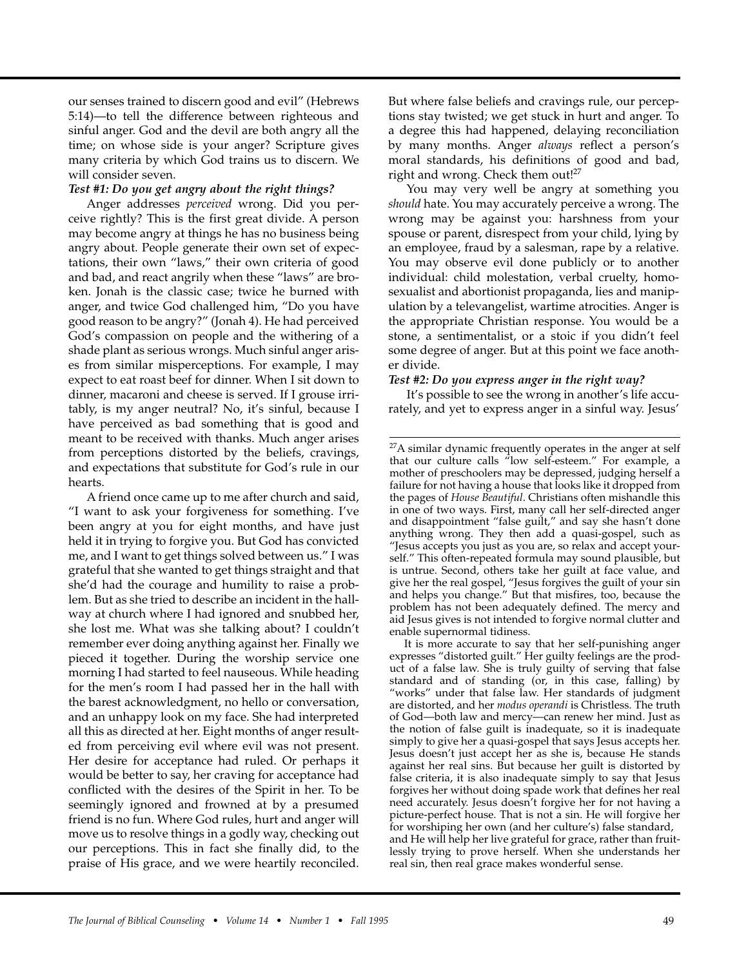our senses trained to discern good and evil" (Hebrews 5:14)—to tell the difference between righteous and sinful anger. God and the devil are both angry all the time; on whose side is your anger? Scripture gives many criteria by which God trains us to discern. We will consider seven.

### *Test #1: Do you get angry about the right things?*

Anger addresses *perceived* wrong. Did you perceive rightly? This is the first great divide. A person may become angry at things he has no business being angry about. People generate their own set of expectations, their own "laws," their own criteria of good and bad, and react angrily when these "laws" are broken. Jonah is the classic case; twice he burned with anger, and twice God challenged him, "Do you have good reason to be angry?" (Jonah 4). He had perceived God's compassion on people and the withering of a shade plant as serious wrongs. Much sinful anger arises from similar misperceptions. For example, I may expect to eat roast beef for dinner. When I sit down to dinner, macaroni and cheese is served. If I grouse irritably, is my anger neutral? No, it's sinful, because I have perceived as bad something that is good and meant to be received with thanks. Much anger arises from perceptions distorted by the beliefs, cravings, and expectations that substitute for God's rule in our hearts.

A friend once came up to me after church and said, "I want to ask your forgiveness for something. I've been angry at you for eight months, and have just held it in trying to forgive you. But God has convicted me, and I want to get things solved between us." I was grateful that she wanted to get things straight and that she'd had the courage and humility to raise a problem. But as she tried to describe an incident in the hallway at church where I had ignored and snubbed her, she lost me. What was she talking about? I couldn't remember ever doing anything against her. Finally we pieced it together. During the worship service one morning I had started to feel nauseous. While heading for the men's room I had passed her in the hall with the barest acknowledgment, no hello or conversation, and an unhappy look on my face. She had interpreted all this as directed at her. Eight months of anger resulted from perceiving evil where evil was not present. Her desire for acceptance had ruled. Or perhaps it would be better to say, her craving for acceptance had conflicted with the desires of the Spirit in her. To be seemingly ignored and frowned at by a presumed friend is no fun. Where God rules, hurt and anger will move us to resolve things in a godly way, checking out our perceptions. This in fact she finally did, to the praise of His grace, and we were heartily reconciled.

But where false beliefs and cravings rule, our perceptions stay twisted; we get stuck in hurt and anger. To a degree this had happened, delaying reconciliation by many months. Anger *always* reflect a person's moral standards, his definitions of good and bad, right and wrong. Check them out!<sup>27</sup>

You may very well be angry at something you *should* hate. You may accurately perceive a wrong. The wrong may be against you: harshness from your spouse or parent, disrespect from your child, lying by an employee, fraud by a salesman, rape by a relative. You may observe evil done publicly or to another individual: child molestation, verbal cruelty, homosexualist and abortionist propaganda, lies and manipulation by a televangelist, wartime atrocities. Anger is the appropriate Christian response. You would be a stone, a sentimentalist, or a stoic if you didn't feel some degree of anger. But at this point we face another divide.

#### *Test #2: Do you express anger in the right way?*

It's possible to see the wrong in another's life accurately, and yet to express anger in a sinful way. Jesus'

It is more accurate to say that her self-punishing anger expresses "distorted guilt." Her guilty feelings are the product of a false law. She is truly guilty of serving that false standard and of standing (or, in this case, falling) by "works" under that false law. Her standards of judgment are distorted, and her *modus operandi* is Christless. The truth of God—both law and mercy—can renew her mind. Just as the notion of false guilt is inadequate, so it is inadequate simply to give her a quasi-gospel that says Jesus accepts her. Jesus doesn't just accept her as she is, because He stands against her real sins. But because her guilt is distorted by false criteria, it is also inadequate simply to say that Jesus forgives her without doing spade work that defines her real need accurately. Jesus doesn't forgive her for not having a picture-perfect house. That is not a sin. He will forgive her for worshiping her own (and her culture's) false standard, and He will help her live grateful for grace, rather than fruitlessly trying to prove herself. When she understands her real sin, then real grace makes wonderful sense.

<sup>&</sup>lt;sup>27</sup>A similar dynamic frequently operates in the anger at self that our culture calls "low self-esteem." For example, a mother of preschoolers may be depressed, judging herself a failure for not having a house that looks like it dropped from the pages of *House Beautiful*. Christians often mishandle this in one of two ways. First, many call her self-directed anger and disappointment "false guilt," and say she hasn't done anything wrong. They then add a quasi-gospel, such as "Jesus accepts you just as you are, so relax and accept yourself." This often-repeated formula may sound plausible, but is untrue. Second, others take her guilt at face value, and give her the real gospel, "Jesus forgives the guilt of your sin and helps you change." But that misfires, too, because the problem has not been adequately defined. The mercy and aid Jesus gives is not intended to forgive normal clutter and enable supernormal tidiness.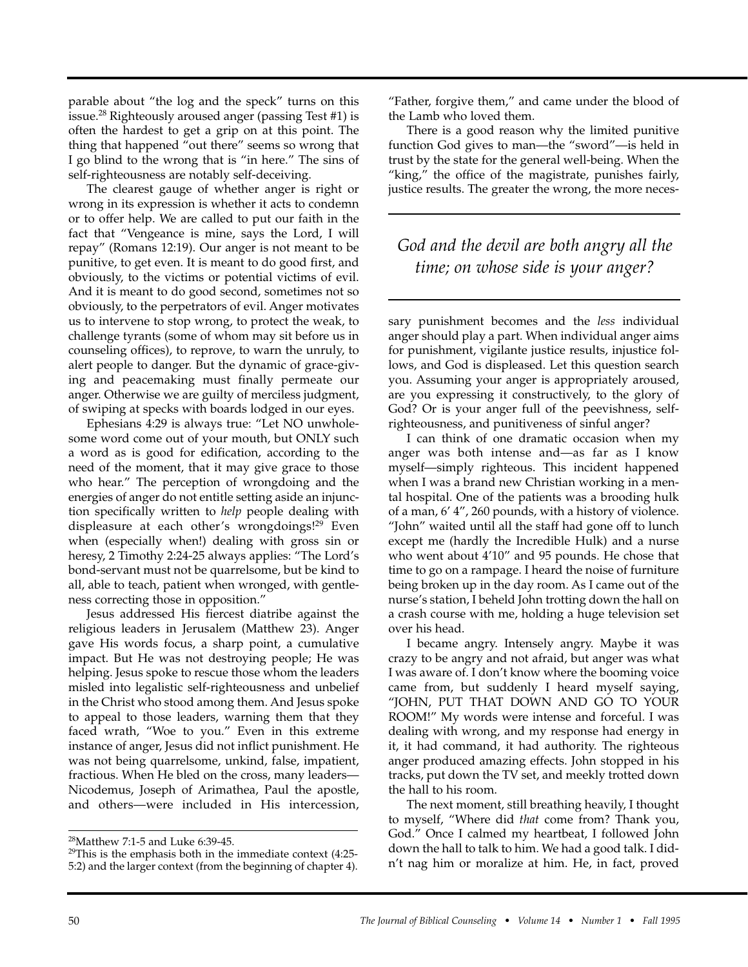parable about "the log and the speck" turns on this issue.28 Righteously aroused anger (passing Test #1) is often the hardest to get a grip on at this point. The thing that happened "out there" seems so wrong that I go blind to the wrong that is "in here." The sins of self-righteousness are notably self-deceiving.

The clearest gauge of whether anger is right or wrong in its expression is whether it acts to condemn or to offer help. We are called to put our faith in the fact that "Vengeance is mine, says the Lord, I will repay" (Romans 12:19). Our anger is not meant to be punitive, to get even. It is meant to do good first, and obviously, to the victims or potential victims of evil. And it is meant to do good second, sometimes not so obviously, to the perpetrators of evil. Anger motivates us to intervene to stop wrong, to protect the weak, to challenge tyrants (some of whom may sit before us in counseling offices), to reprove, to warn the unruly, to alert people to danger. But the dynamic of grace-giving and peacemaking must finally permeate our anger. Otherwise we are guilty of merciless judgment, of swiping at specks with boards lodged in our eyes.

Ephesians 4:29 is always true: "Let NO unwholesome word come out of your mouth, but ONLY such a word as is good for edification, according to the need of the moment, that it may give grace to those who hear." The perception of wrongdoing and the energies of anger do not entitle setting aside an injunction specifically written to *help* people dealing with displeasure at each other's wrongdoings!<sup>29</sup> Even when (especially when!) dealing with gross sin or heresy, 2 Timothy 2:24-25 always applies: "The Lord's bond-servant must not be quarrelsome, but be kind to all, able to teach, patient when wronged, with gentleness correcting those in opposition."

Jesus addressed His fiercest diatribe against the religious leaders in Jerusalem (Matthew 23). Anger gave His words focus, a sharp point, a cumulative impact. But He was not destroying people; He was helping. Jesus spoke to rescue those whom the leaders misled into legalistic self-righteousness and unbelief in the Christ who stood among them. And Jesus spoke to appeal to those leaders, warning them that they faced wrath, "Woe to you." Even in this extreme instance of anger, Jesus did not inflict punishment. He was not being quarrelsome, unkind, false, impatient, fractious. When He bled on the cross, many leaders— Nicodemus, Joseph of Arimathea, Paul the apostle, and others—were included in His intercession,

"Father, forgive them," and came under the blood of the Lamb who loved them.

There is a good reason why the limited punitive function God gives to man—the "sword"—is held in trust by the state for the general well-being. When the "king," the office of the magistrate, punishes fairly, justice results. The greater the wrong, the more neces-

# *God and the devil are both angry all the time; on whose side is your anger?*

sary punishment becomes and the *less* individual anger should play a part. When individual anger aims for punishment, vigilante justice results, injustice follows, and God is displeased. Let this question search you. Assuming your anger is appropriately aroused, are you expressing it constructively, to the glory of God? Or is your anger full of the peevishness, selfrighteousness, and punitiveness of sinful anger?

I can think of one dramatic occasion when my anger was both intense and—as far as I know myself—simply righteous. This incident happened when I was a brand new Christian working in a mental hospital. One of the patients was a brooding hulk of a man, 6' 4", 260 pounds, with a history of violence. "John" waited until all the staff had gone off to lunch except me (hardly the Incredible Hulk) and a nurse who went about 4'10" and 95 pounds. He chose that time to go on a rampage. I heard the noise of furniture being broken up in the day room. As I came out of the nurse's station, I beheld John trotting down the hall on a crash course with me, holding a huge television set over his head.

I became angry. Intensely angry. Maybe it was crazy to be angry and not afraid, but anger was what I was aware of. I don't know where the booming voice came from, but suddenly I heard myself saying, "JOHN, PUT THAT DOWN AND GO TO YOUR ROOM!" My words were intense and forceful. I was dealing with wrong, and my response had energy in it, it had command, it had authority. The righteous anger produced amazing effects. John stopped in his tracks, put down the TV set, and meekly trotted down the hall to his room.

The next moment, still breathing heavily, I thought to myself, "Where did *that* come from? Thank you, God." Once I calmed my heartbeat, I followed John down the hall to talk to him. We had a good talk. I didn't nag him or moralize at him. He, in fact, proved

<sup>28</sup>Matthew 7:1-5 and Luke 6:39-45.

 $29$ This is the emphasis both in the immediate context (4:25-5:2) and the larger context (from the beginning of chapter 4).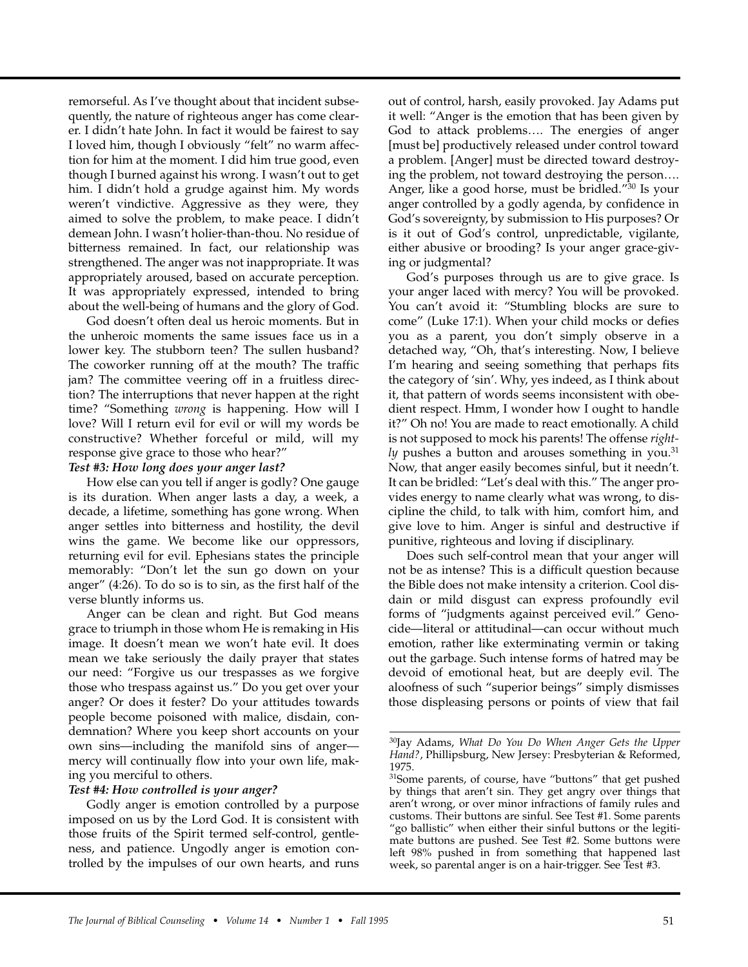remorseful. As I've thought about that incident subsequently, the nature of righteous anger has come clearer. I didn't hate John. In fact it would be fairest to say I loved him, though I obviously "felt" no warm affection for him at the moment. I did him true good, even though I burned against his wrong. I wasn't out to get him. I didn't hold a grudge against him. My words weren't vindictive. Aggressive as they were, they aimed to solve the problem, to make peace. I didn't demean John. I wasn't holier-than-thou. No residue of bitterness remained. In fact, our relationship was strengthened. The anger was not inappropriate. It was appropriately aroused, based on accurate perception. It was appropriately expressed, intended to bring about the well-being of humans and the glory of God.

God doesn't often deal us heroic moments. But in the unheroic moments the same issues face us in a lower key. The stubborn teen? The sullen husband? The coworker running off at the mouth? The traffic jam? The committee veering off in a fruitless direction? The interruptions that never happen at the right time? "Something *wrong* is happening. How will I love? Will I return evil for evil or will my words be constructive? Whether forceful or mild, will my response give grace to those who hear?"

### *Test #3: How long does your anger last?*

How else can you tell if anger is godly? One gauge is its duration. When anger lasts a day, a week, a decade, a lifetime, something has gone wrong. When anger settles into bitterness and hostility, the devil wins the game. We become like our oppressors, returning evil for evil. Ephesians states the principle memorably: "Don't let the sun go down on your anger" (4:26). To do so is to sin, as the first half of the verse bluntly informs us.

Anger can be clean and right. But God means grace to triumph in those whom He is remaking in His image. It doesn't mean we won't hate evil. It does mean we take seriously the daily prayer that states our need: "Forgive us our trespasses as we forgive those who trespass against us." Do you get over your anger? Or does it fester? Do your attitudes towards people become poisoned with malice, disdain, condemnation? Where you keep short accounts on your own sins—including the manifold sins of anger mercy will continually flow into your own life, making you merciful to others.

# *Test #4: How controlled is your anger?*

Godly anger is emotion controlled by a purpose imposed on us by the Lord God. It is consistent with those fruits of the Spirit termed self-control, gentleness, and patience. Ungodly anger is emotion controlled by the impulses of our own hearts, and runs out of control, harsh, easily provoked. Jay Adams put it well: "Anger is the emotion that has been given by God to attack problems…. The energies of anger [must be] productively released under control toward a problem. [Anger] must be directed toward destroying the problem, not toward destroying the person…. Anger, like a good horse, must be bridled."30 Is your anger controlled by a godly agenda, by confidence in God's sovereignty, by submission to His purposes? Or is it out of God's control, unpredictable, vigilante, either abusive or brooding? Is your anger grace-giving or judgmental?

God's purposes through us are to give grace. Is your anger laced with mercy? You will be provoked. You can't avoid it: "Stumbling blocks are sure to come" (Luke 17:1). When your child mocks or defies you as a parent, you don't simply observe in a detached way, "Oh, that's interesting. Now, I believe I'm hearing and seeing something that perhaps fits the category of 'sin'. Why, yes indeed, as I think about it, that pattern of words seems inconsistent with obedient respect. Hmm, I wonder how I ought to handle it?" Oh no! You are made to react emotionally. A child is not supposed to mock his parents! The offense *right-* $$ Now, that anger easily becomes sinful, but it needn't. It can be bridled: "Let's deal with this." The anger provides energy to name clearly what was wrong, to discipline the child, to talk with him, comfort him, and give love to him. Anger is sinful and destructive if punitive, righteous and loving if disciplinary.

Does such self-control mean that your anger will not be as intense? This is a difficult question because the Bible does not make intensity a criterion. Cool disdain or mild disgust can express profoundly evil forms of "judgments against perceived evil." Genocide—literal or attitudinal—can occur without much emotion, rather like exterminating vermin or taking out the garbage. Such intense forms of hatred may be devoid of emotional heat, but are deeply evil. The aloofness of such "superior beings" simply dismisses those displeasing persons or points of view that fail

<sup>30</sup>Jay Adams, *What Do You Do When Anger Gets the Upper Hand?*, Phillipsburg, New Jersey: Presbyterian & Reformed, 1975.

<sup>&</sup>lt;sup>31</sup>Some parents, of course, have "buttons" that get pushed by things that aren't sin. They get angry over things that aren't wrong, or over minor infractions of family rules and customs. Their buttons are sinful. See Test #1. Some parents "go ballistic" when either their sinful buttons or the legitimate buttons are pushed. See Test #2. Some buttons were left 98% pushed in from something that happened last week, so parental anger is on a hair-trigger. See Test #3.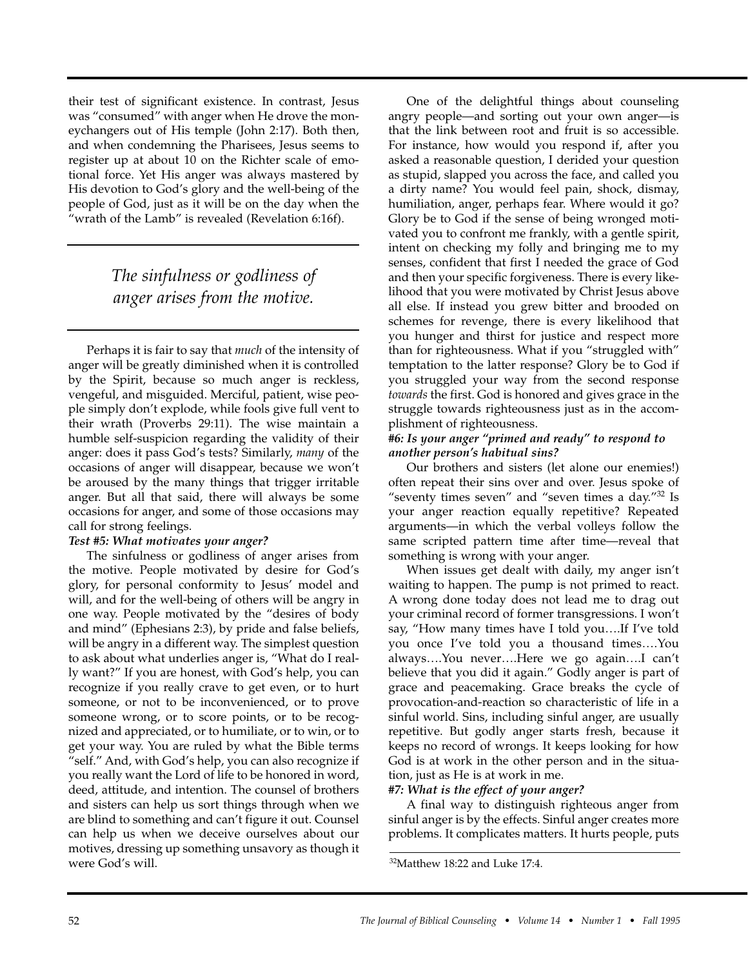their test of significant existence. In contrast, Jesus was "consumed" with anger when He drove the moneychangers out of His temple (John 2:17). Both then, and when condemning the Pharisees, Jesus seems to register up at about 10 on the Richter scale of emotional force. Yet His anger was always mastered by His devotion to God's glory and the well-being of the people of God, just as it will be on the day when the "wrath of the Lamb" is revealed (Revelation 6:16f).

# *The sinfulness or godliness of anger arises from the motive.*

Perhaps it is fair to say that *much* of the intensity of anger will be greatly diminished when it is controlled by the Spirit, because so much anger is reckless, vengeful, and misguided. Merciful, patient, wise people simply don't explode, while fools give full vent to their wrath (Proverbs 29:11). The wise maintain a humble self-suspicion regarding the validity of their anger: does it pass God's tests? Similarly, *many* of the occasions of anger will disappear, because we won't be aroused by the many things that trigger irritable anger. But all that said, there will always be some occasions for anger, and some of those occasions may call for strong feelings.

# *Test #5: What motivates your anger?*

The sinfulness or godliness of anger arises from the motive. People motivated by desire for God's glory, for personal conformity to Jesus' model and will, and for the well-being of others will be angry in one way. People motivated by the "desires of body and mind" (Ephesians 2:3), by pride and false beliefs, will be angry in a different way. The simplest question to ask about what underlies anger is, "What do I really want?" If you are honest, with God's help, you can recognize if you really crave to get even, or to hurt someone, or not to be inconvenienced, or to prove someone wrong, or to score points, or to be recognized and appreciated, or to humiliate, or to win, or to get your way. You are ruled by what the Bible terms "self." And, with God's help, you can also recognize if you really want the Lord of life to be honored in word, deed, attitude, and intention. The counsel of brothers and sisters can help us sort things through when we are blind to something and can't figure it out. Counsel can help us when we deceive ourselves about our motives, dressing up something unsavory as though it were God's will.

One of the delightful things about counseling angry people—and sorting out your own anger—is that the link between root and fruit is so accessible. For instance, how would you respond if, after you asked a reasonable question, I derided your question as stupid, slapped you across the face, and called you a dirty name? You would feel pain, shock, dismay, humiliation, anger, perhaps fear. Where would it go? Glory be to God if the sense of being wronged motivated you to confront me frankly, with a gentle spirit, intent on checking my folly and bringing me to my senses, confident that first I needed the grace of God and then your specific forgiveness. There is every likelihood that you were motivated by Christ Jesus above all else. If instead you grew bitter and brooded on schemes for revenge, there is every likelihood that you hunger and thirst for justice and respect more than for righteousness. What if you "struggled with" temptation to the latter response? Glory be to God if you struggled your way from the second response *towards* the first. God is honored and gives grace in the struggle towards righteousness just as in the accomplishment of righteousness.

# *#6: Is your anger "primed and ready" to respond to another person's habitual sins?*

Our brothers and sisters (let alone our enemies!) often repeat their sins over and over. Jesus spoke of "seventy times seven" and "seven times a day."32 Is your anger reaction equally repetitive? Repeated arguments—in which the verbal volleys follow the same scripted pattern time after time—reveal that something is wrong with your anger.

When issues get dealt with daily, my anger isn't waiting to happen. The pump is not primed to react. A wrong done today does not lead me to drag out your criminal record of former transgressions. I won't say, "How many times have I told you….If I've told you once I've told you a thousand times….You always….You never….Here we go again….I can't believe that you did it again." Godly anger is part of grace and peacemaking. Grace breaks the cycle of provocation-and-reaction so characteristic of life in a sinful world. Sins, including sinful anger, are usually repetitive. But godly anger starts fresh, because it keeps no record of wrongs. It keeps looking for how God is at work in the other person and in the situation, just as He is at work in me.

# *#7: What is the effect of your anger?*

A final way to distinguish righteous anger from sinful anger is by the effects. Sinful anger creates more problems. It complicates matters. It hurts people, puts

<sup>32</sup>Matthew 18:22 and Luke 17:4.